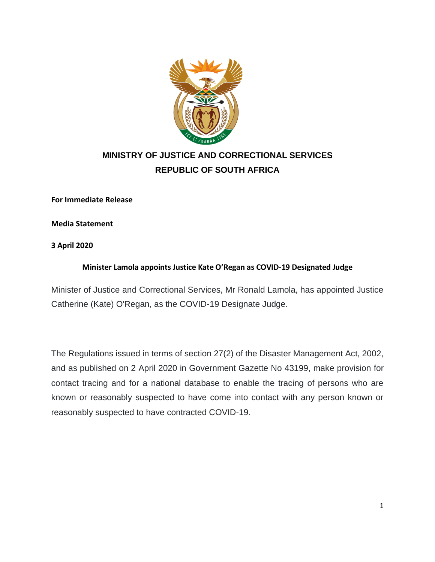

## **MINISTRY OF JUSTICE AND CORRECTIONAL SERVICES REPUBLIC OF SOUTH AFRICA**

**For Immediate Release**

**Media Statement**

**3 April 2020**

## **Minister Lamola appoints Justice Kate O'Regan as COVID-19 Designated Judge**

Minister of Justice and Correctional Services, Mr Ronald Lamola, has appointed Justice Catherine (Kate) O'Regan, as the COVID-19 Designate Judge.

The Regulations issued in terms of section 27(2) of the Disaster Management Act, 2002, and as published on 2 April 2020 in Government Gazette No 43199, make provision for contact tracing and for a national database to enable the tracing of persons who are known or reasonably suspected to have come into contact with any person known or reasonably suspected to have contracted COVID-19.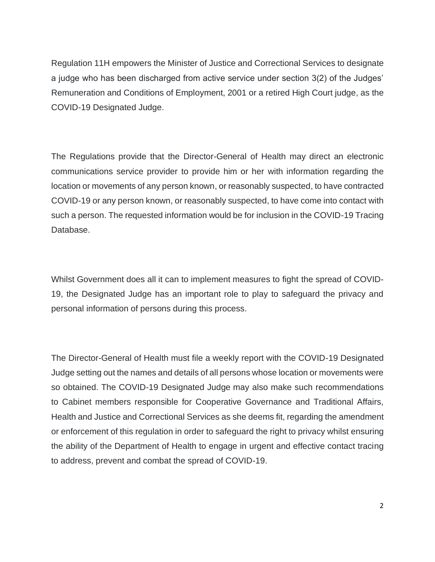Regulation 11H empowers the Minister of Justice and Correctional Services to designate a judge who has been discharged from active service under section 3(2) of the Judges' Remuneration and Conditions of Employment, 2001 or a retired High Court judge, as the COVID-19 Designated Judge.

The Regulations provide that the Director-General of Health may direct an electronic communications service provider to provide him or her with information regarding the location or movements of any person known, or reasonably suspected, to have contracted COVID-19 or any person known, or reasonably suspected, to have come into contact with such a person. The requested information would be for inclusion in the COVID-19 Tracing Database.

Whilst Government does all it can to implement measures to fight the spread of COVID-19, the Designated Judge has an important role to play to safeguard the privacy and personal information of persons during this process.

The Director-General of Health must file a weekly report with the COVID-19 Designated Judge setting out the names and details of all persons whose location or movements were so obtained. The COVID-19 Designated Judge may also make such recommendations to Cabinet members responsible for Cooperative Governance and Traditional Affairs, Health and Justice and Correctional Services as she deems fit, regarding the amendment or enforcement of this regulation in order to safeguard the right to privacy whilst ensuring the ability of the Department of Health to engage in urgent and effective contact tracing to address, prevent and combat the spread of COVID-19.